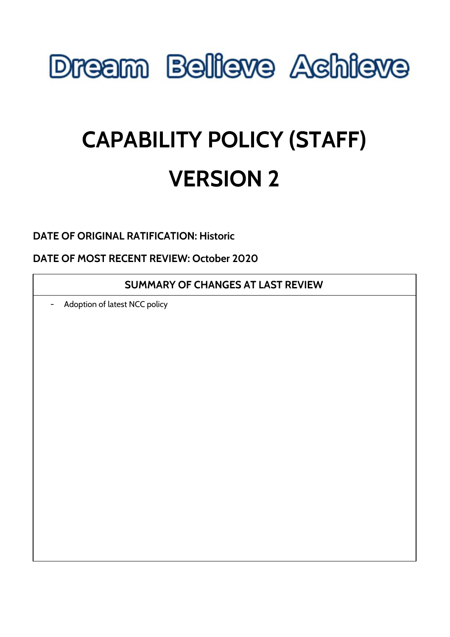

# **CAPABILITY POLICY (STAFF) VERSION 2**

**DATE OF ORIGINAL RATIFICATION: Historic**

**DATE OF MOST RECENT REVIEW: October 2020**

**SUMMARY OF CHANGES AT LAST REVIEW**

- Adoption of latest NCC policy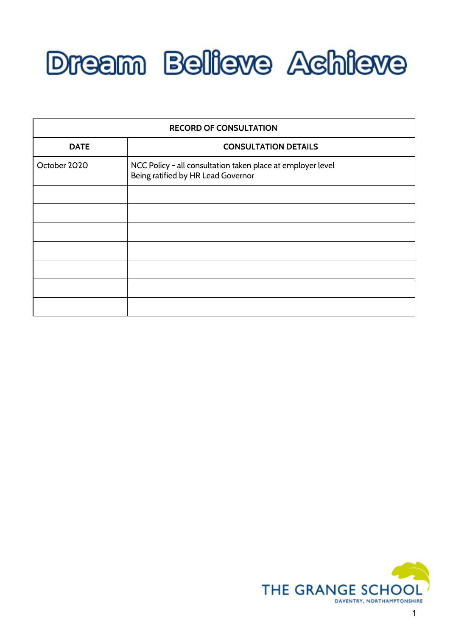

| <b>RECORD OF CONSULTATION</b> |                                                                                                   |  |  |
|-------------------------------|---------------------------------------------------------------------------------------------------|--|--|
| <b>DATE</b>                   | <b>CONSULTATION DETAILS</b>                                                                       |  |  |
| October 2020                  | NCC Policy - all consultation taken place at employer level<br>Being ratified by HR Lead Governor |  |  |
|                               |                                                                                                   |  |  |
|                               |                                                                                                   |  |  |
|                               |                                                                                                   |  |  |
|                               |                                                                                                   |  |  |
|                               |                                                                                                   |  |  |
|                               |                                                                                                   |  |  |
|                               |                                                                                                   |  |  |

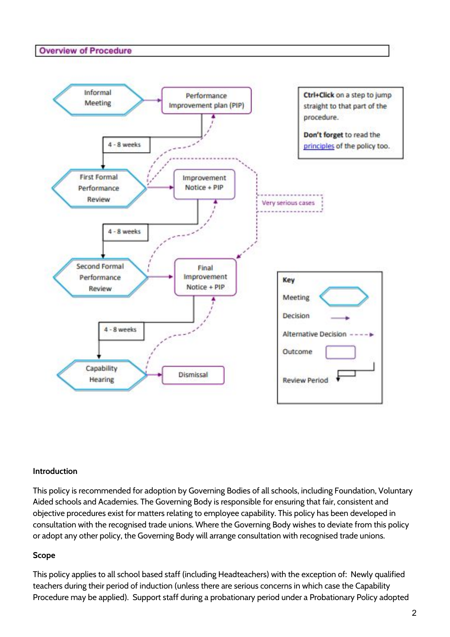#### **Overview of Procedure**



#### **Introduction**

This policy is recommended for adoption by Governing Bodies of all schools, including Foundation, Voluntary Aided schools and Academies. The Governing Body is responsible for ensuring that fair, consistent and objective procedures exist for matters relating to employee capability. This policy has been developed in consultation with the recognised trade unions. Where the Governing Body wishes to deviate from this policy or adopt any other policy, the Governing Body will arrange consultation with recognised trade unions.

#### **Scope**

This policy applies to all school based staff (including Headteachers) with the exception of: Newly qualified teachers during their period of induction (unless there are serious concerns in which case the Capability Procedure may be applied). Support staff during a probationary period under a Probationary Policy adopted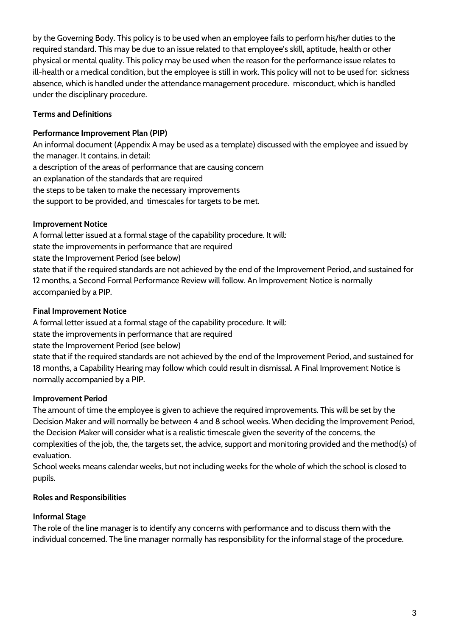by the Governing Body. This policy is to be used when an employee fails to perform his/her duties to the required standard. This may be due to an issue related to that employee's skill, aptitude, health or other physical or mental quality. This policy may be used when the reason for the performance issue relates to ill-health or a medical condition, but the employee is still in work. This policy will not to be used for: sickness absence, which is handled under the attendance management procedure. misconduct, which is handled under the disciplinary procedure.

# **Terms and Definitions**

# **Performance Improvement Plan (PIP)**

An informal document (Appendix A may be used as a template) discussed with the employee and issued by the manager. It contains, in detail: a description of the areas of performance that are causing concern an explanation of the standards that are required the steps to be taken to make the necessary improvements the support to be provided, and timescales for targets to be met.

# **Improvement Notice**

A formal letter issued at a formal stage of the capability procedure. It will: state the improvements in performance that are required state the Improvement Period (see below) state that if the required standards are not achieved by the end of the Improvement Period, and sustained for 12 months, a Second Formal Performance Review will follow. An Improvement Notice is normally accompanied by a PIP.

# **Final Improvement Notice**

A formal letter issued at a formal stage of the capability procedure. It will:

state the improvements in performance that are required

state the Improvement Period (see below)

state that if the required standards are not achieved by the end of the Improvement Period, and sustained for 18 months, a Capability Hearing may follow which could result in dismissal. A Final Improvement Notice is normally accompanied by a PIP.

# **Improvement Period**

The amount of time the employee is given to achieve the required improvements. This will be set by the Decision Maker and will normally be between 4 and 8 school weeks. When deciding the Improvement Period, the Decision Maker will consider what is a realistic timescale given the severity of the concerns, the complexities of the job, the, the targets set, the advice, support and monitoring provided and the method(s) of evaluation.

School weeks means calendar weeks, but not including weeks for the whole of which the school is closed to pupils.

# **Roles and Responsibilities**

# **Informal Stage**

The role of the line manager is to identify any concerns with performance and to discuss them with the individual concerned. The line manager normally has responsibility for the informal stage of the procedure.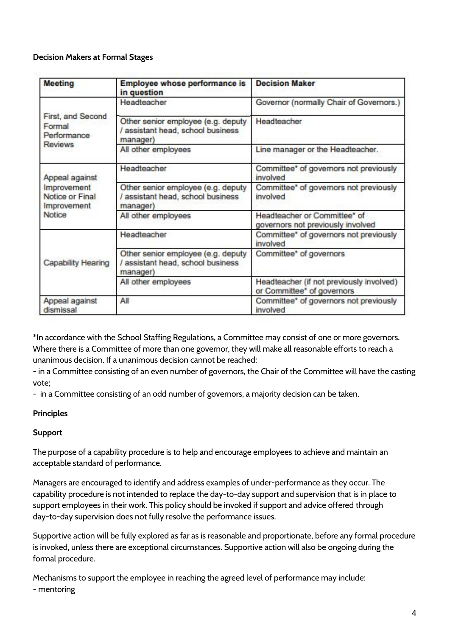## **Decision Makers at Formal Stages**

| Meeting                                                                          | <b>Employee whose performance is</b><br>in question                                 | <b>Decision Maker</b>                                                  |
|----------------------------------------------------------------------------------|-------------------------------------------------------------------------------------|------------------------------------------------------------------------|
| First, and Second<br>Formal<br>Performance<br>Reviews                            | Headteacher                                                                         | Governor (normally Chair of Governors.)                                |
|                                                                                  | Other senior employee (e.g. deputy<br>/ assistant head, school business<br>manager) | Headteacher                                                            |
|                                                                                  | All other employees                                                                 | Line manager or the Headteacher.                                       |
| Appeal against<br>Improvement<br>Notice or Final<br>Improvement<br><b>Notice</b> | Headteacher                                                                         | Committee" of governors not previously<br>involved                     |
|                                                                                  | Other senior employee (e.g. deputy<br>/ assistant head, school business<br>manager) | Committee" of governors not previously<br>involved                     |
|                                                                                  | All other employees                                                                 | Headteacher or Committee* of<br>governors not previously involved      |
| <b>Capability Hearing</b>                                                        | Headteacher                                                                         | Committee" of governors not previously<br>involved                     |
|                                                                                  | Other senior employee (e.g. deputy<br>/ assistant head, school business<br>manager) | Committee" of governors                                                |
|                                                                                  | All other employees                                                                 | Headteacher (if not previously involved)<br>or Committee" of governors |
| Appeal against<br>dismissal                                                      | All                                                                                 | Committee" of governors not previously<br>involved                     |

\*In accordance with the School Staffing Regulations, a Committee may consist of one or more governors. Where there is a Committee of more than one governor, they will make all reasonable efforts to reach a unanimous decision. If a unanimous decision cannot be reached:

- in a Committee consisting of an even number of governors, the Chair of the Committee will have the casting vote;

- in a Committee consisting of an odd number of governors, a majority decision can be taken.

## **Principles**

## **Support**

The purpose of a capability procedure is to help and encourage employees to achieve and maintain an acceptable standard of performance.

Managers are encouraged to identify and address examples of under-performance as they occur. The capability procedure is not intended to replace the day-to-day support and supervision that is in place to support employees in their work. This policy should be invoked if support and advice offered through day-to-day supervision does not fully resolve the performance issues.

Supportive action will be fully explored as far as is reasonable and proportionate, before any formal procedure is invoked, unless there are exceptional circumstances. Supportive action will also be ongoing during the formal procedure.

Mechanisms to support the employee in reaching the agreed level of performance may include: - mentoring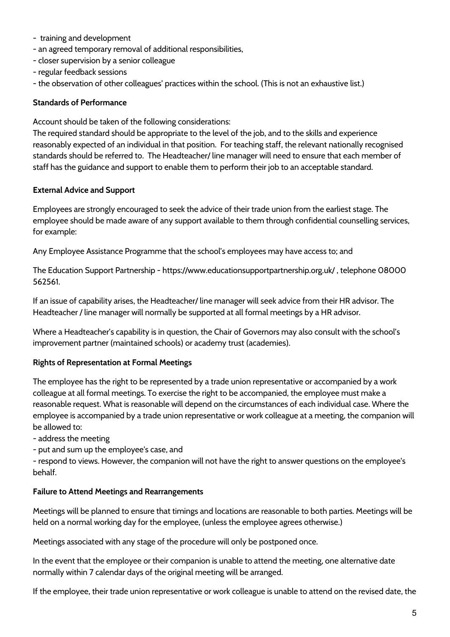- training and development
- an agreed temporary removal of additional responsibilities,
- closer supervision by a senior colleague
- regular feedback sessions
- the observation of other colleagues' practices within the school. (This is not an exhaustive list.)

#### **Standards of Performance**

Account should be taken of the following considerations:

The required standard should be appropriate to the level of the job, and to the skills and experience reasonably expected of an individual in that position. For teaching staff, the relevant nationally recognised standards should be referred to. The Headteacher/ line manager will need to ensure that each member of staff has the guidance and support to enable them to perform their job to an acceptable standard.

#### **External Advice and Support**

Employees are strongly encouraged to seek the advice of their trade union from the earliest stage. The employee should be made aware of any support available to them through confidential counselling services, for example:

Any Employee Assistance Programme that the school's employees may have access to; and

The Education Support Partnership - https://www.educationsupportpartnership.org.uk/ , telephone 08000 562561.

If an issue of capability arises, the Headteacher/ line manager will seek advice from their HR advisor. The Headteacher / line manager will normally be supported at all formal meetings by a HR advisor.

Where a Headteacher's capability is in question, the Chair of Governors may also consult with the school's improvement partner (maintained schools) or academy trust (academies).

## **Rights of Representation at Formal Meetings**

The employee has the right to be represented by a trade union representative or accompanied by a work colleague at all formal meetings. To exercise the right to be accompanied, the employee must make a reasonable request. What is reasonable will depend on the circumstances of each individual case. Where the employee is accompanied by a trade union representative or work colleague at a meeting, the companion will be allowed to:

- address the meeting

- put and sum up the employee's case, and

- respond to views. However, the companion will not have the right to answer questions on the employee's behalf.

#### **Failure to Attend Meetings and Rearrangements**

Meetings will be planned to ensure that timings and locations are reasonable to both parties. Meetings will be held on a normal working day for the employee, (unless the employee agrees otherwise.)

Meetings associated with any stage of the procedure will only be postponed once.

In the event that the employee or their companion is unable to attend the meeting, one alternative date normally within 7 calendar days of the original meeting will be arranged.

If the employee, their trade union representative or work colleague is unable to attend on the revised date, the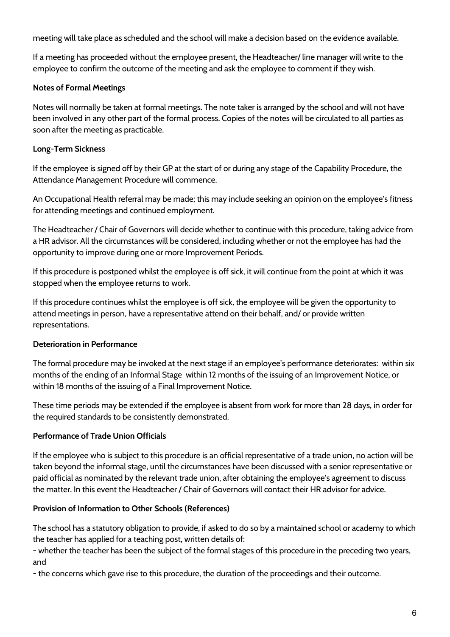meeting will take place as scheduled and the school will make a decision based on the evidence available.

If a meeting has proceeded without the employee present, the Headteacher/ line manager will write to the employee to confirm the outcome of the meeting and ask the employee to comment if they wish.

# **Notes of Formal Meetings**

Notes will normally be taken at formal meetings. The note taker is arranged by the school and will not have been involved in any other part of the formal process. Copies of the notes will be circulated to all parties as soon after the meeting as practicable.

## **Long-Term Sickness**

If the employee is signed off by their GP at the start of or during any stage of the Capability Procedure, the Attendance Management Procedure will commence.

An Occupational Health referral may be made; this may include seeking an opinion on the employee's fitness for attending meetings and continued employment.

The Headteacher / Chair of Governors will decide whether to continue with this procedure, taking advice from a HR advisor. All the circumstances will be considered, including whether or not the employee has had the opportunity to improve during one or more Improvement Periods.

If this procedure is postponed whilst the employee is off sick, it will continue from the point at which it was stopped when the employee returns to work.

If this procedure continues whilst the employee is off sick, the employee will be given the opportunity to attend meetings in person, have a representative attend on their behalf, and/ or provide written representations.

## **Deterioration in Performance**

The formal procedure may be invoked at the next stage if an employee's performance deteriorates: within six months of the ending of an Informal Stage within 12 months of the issuing of an Improvement Notice, or within 18 months of the issuing of a Final Improvement Notice.

These time periods may be extended if the employee is absent from work for more than 28 days, in order for the required standards to be consistently demonstrated.

# **Performance of Trade Union Officials**

If the employee who is subject to this procedure is an official representative of a trade union, no action will be taken beyond the informal stage, until the circumstances have been discussed with a senior representative or paid official as nominated by the relevant trade union, after obtaining the employee's agreement to discuss the matter. In this event the Headteacher / Chair of Governors will contact their HR advisor for advice.

## **Provision of Information to Other Schools (References)**

The school has a statutory obligation to provide, if asked to do so by a maintained school or academy to which the teacher has applied for a teaching post, written details of:

- whether the teacher has been the subject of the formal stages of this procedure in the preceding two years, and

- the concerns which gave rise to this procedure, the duration of the proceedings and their outcome.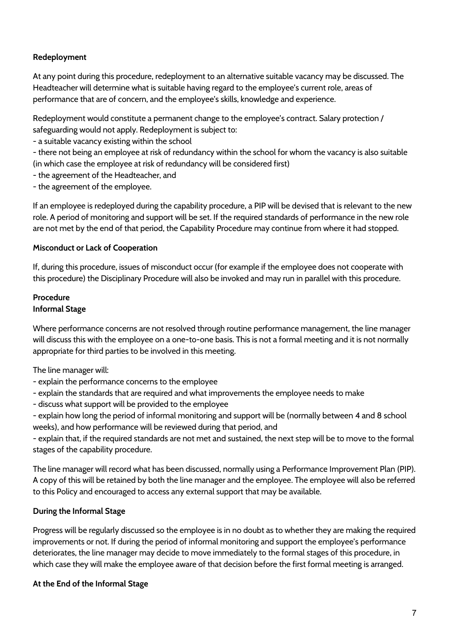## **Redeployment**

At any point during this procedure, redeployment to an alternative suitable vacancy may be discussed. The Headteacher will determine what is suitable having regard to the employee's current role, areas of performance that are of concern, and the employee's skills, knowledge and experience.

Redeployment would constitute a permanent change to the employee's contract. Salary protection / safeguarding would not apply. Redeployment is subject to:

- a suitable vacancy existing within the school

- there not being an employee at risk of redundancy within the school for whom the vacancy is also suitable (in which case the employee at risk of redundancy will be considered first)

- the agreement of the Headteacher, and
- the agreement of the employee.

If an employee is redeployed during the capability procedure, a PIP will be devised that is relevant to the new role. A period of monitoring and support will be set. If the required standards of performance in the new role are not met by the end of that period, the Capability Procedure may continue from where it had stopped.

## **Misconduct or Lack of Cooperation**

If, during this procedure, issues of misconduct occur (for example if the employee does not cooperate with this procedure) the Disciplinary Procedure will also be invoked and may run in parallel with this procedure.

## **Procedure Informal Stage**

Where performance concerns are not resolved through routine performance management, the line manager will discuss this with the employee on a one-to-one basis. This is not a formal meeting and it is not normally appropriate for third parties to be involved in this meeting.

The line manager will:

- explain the performance concerns to the employee
- explain the standards that are required and what improvements the employee needs to make
- discuss what support will be provided to the employee

- explain how long the period of informal monitoring and support will be (normally between 4 and 8 school weeks), and how performance will be reviewed during that period, and

- explain that, if the required standards are not met and sustained, the next step will be to move to the formal stages of the capability procedure.

The line manager will record what has been discussed, normally using a Performance Improvement Plan (PIP). A copy of this will be retained by both the line manager and the employee. The employee will also be referred to this Policy and encouraged to access any external support that may be available.

## **During the Informal Stage**

Progress will be regularly discussed so the employee is in no doubt as to whether they are making the required improvements or not. If during the period of informal monitoring and support the employee's performance deteriorates, the line manager may decide to move immediately to the formal stages of this procedure, in which case they will make the employee aware of that decision before the first formal meeting is arranged.

## **At the End of the Informal Stage**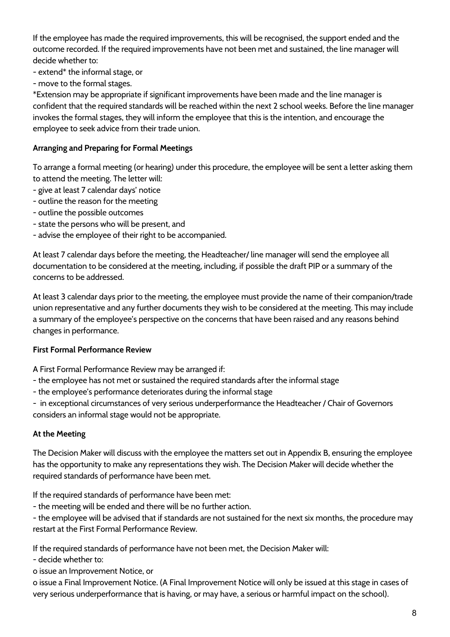If the employee has made the required improvements, this will be recognised, the support ended and the outcome recorded. If the required improvements have not been met and sustained, the line manager will decide whether to:

- extend\* the informal stage, or

- move to the formal stages.

\*Extension may be appropriate if significant improvements have been made and the line manager is confident that the required standards will be reached within the next 2 school weeks. Before the line manager invokes the formal stages, they will inform the employee that this is the intention, and encourage the employee to seek advice from their trade union.

## **Arranging and Preparing for Formal Meetings**

To arrange a formal meeting (or hearing) under this procedure, the employee will be sent a letter asking them to attend the meeting. The letter will:

- give at least 7 calendar days' notice
- outline the reason for the meeting
- outline the possible outcomes
- state the persons who will be present, and
- advise the employee of their right to be accompanied.

At least 7 calendar days before the meeting, the Headteacher/ line manager will send the employee all documentation to be considered at the meeting, including, if possible the draft PIP or a summary of the concerns to be addressed.

At least 3 calendar days prior to the meeting, the employee must provide the name of their companion/trade union representative and any further documents they wish to be considered at the meeting. This may include a summary of the employee's perspective on the concerns that have been raised and any reasons behind changes in performance.

## **First Formal Performance Review**

A First Formal Performance Review may be arranged if:

- the employee has not met or sustained the required standards after the informal stage
- the employee's performance deteriorates during the informal stage

- in exceptional circumstances of very serious underperformance the Headteacher / Chair of Governors considers an informal stage would not be appropriate.

## **At the Meeting**

The Decision Maker will discuss with the employee the matters set out in Appendix B, ensuring the employee has the opportunity to make any representations they wish. The Decision Maker will decide whether the required standards of performance have been met.

If the required standards of performance have been met:

- the meeting will be ended and there will be no further action.

- the employee will be advised that if standards are not sustained for the next six months, the procedure may restart at the First Formal Performance Review.

If the required standards of performance have not been met, the Decision Maker will:

- decide whether to:

o issue an Improvement Notice, or

o issue a Final Improvement Notice. (A Final Improvement Notice will only be issued at this stage in cases of very serious underperformance that is having, or may have, a serious or harmful impact on the school).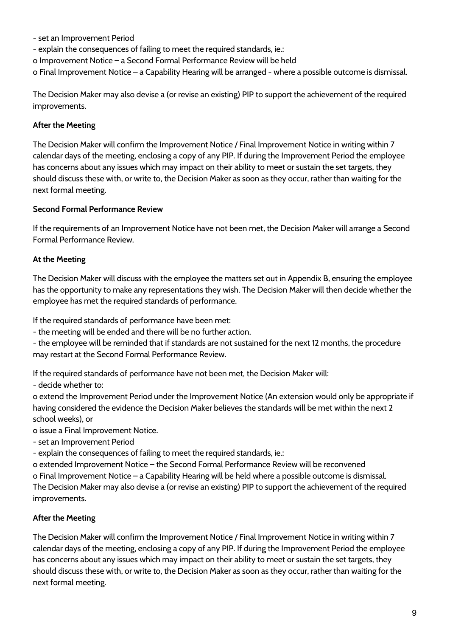- set an Improvement Period
- explain the consequences of failing to meet the required standards, ie.:

o Improvement Notice – a Second Formal Performance Review will be held

o Final Improvement Notice – a Capability Hearing will be arranged - where a possible outcome is dismissal.

The Decision Maker may also devise a (or revise an existing) PIP to support the achievement of the required improvements.

## **After the Meeting**

The Decision Maker will confirm the Improvement Notice / Final Improvement Notice in writing within 7 calendar days of the meeting, enclosing a copy of any PIP. If during the Improvement Period the employee has concerns about any issues which may impact on their ability to meet or sustain the set targets, they should discuss these with, or write to, the Decision Maker as soon as they occur, rather than waiting for the next formal meeting.

## **Second Formal Performance Review**

If the requirements of an Improvement Notice have not been met, the Decision Maker will arrange a Second Formal Performance Review.

## **At the Meeting**

The Decision Maker will discuss with the employee the matters set out in Appendix B, ensuring the employee has the opportunity to make any representations they wish. The Decision Maker will then decide whether the employee has met the required standards of performance.

If the required standards of performance have been met:

- the meeting will be ended and there will be no further action.

- the employee will be reminded that if standards are not sustained for the next 12 months, the procedure may restart at the Second Formal Performance Review.

If the required standards of performance have not been met, the Decision Maker will:

- decide whether to:

o extend the Improvement Period under the Improvement Notice (An extension would only be appropriate if having considered the evidence the Decision Maker believes the standards will be met within the next 2 school weeks), or

o issue a Final Improvement Notice.

- set an Improvement Period

- explain the consequences of failing to meet the required standards, ie.:

o extended Improvement Notice – the Second Formal Performance Review will be reconvened

o Final Improvement Notice – a Capability Hearing will be held where a possible outcome is dismissal. The Decision Maker may also devise a (or revise an existing) PIP to support the achievement of the required improvements.

## **After the Meeting**

The Decision Maker will confirm the Improvement Notice / Final Improvement Notice in writing within 7 calendar days of the meeting, enclosing a copy of any PIP. If during the Improvement Period the employee has concerns about any issues which may impact on their ability to meet or sustain the set targets, they should discuss these with, or write to, the Decision Maker as soon as they occur, rather than waiting for the next formal meeting.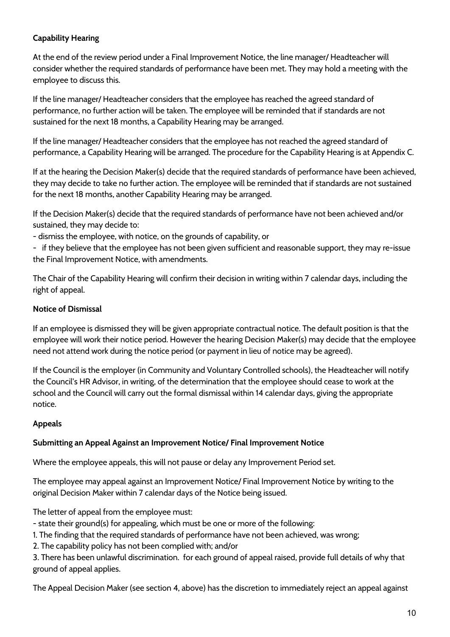## **Capability Hearing**

At the end of the review period under a Final Improvement Notice, the line manager/ Headteacher will consider whether the required standards of performance have been met. They may hold a meeting with the employee to discuss this.

If the line manager/ Headteacher considers that the employee has reached the agreed standard of performance, no further action will be taken. The employee will be reminded that if standards are not sustained for the next 18 months, a Capability Hearing may be arranged.

If the line manager/ Headteacher considers that the employee has not reached the agreed standard of performance, a Capability Hearing will be arranged. The procedure for the Capability Hearing is at Appendix C.

If at the hearing the Decision Maker(s) decide that the required standards of performance have been achieved, they may decide to take no further action. The employee will be reminded that if standards are not sustained for the next 18 months, another Capability Hearing may be arranged.

If the Decision Maker(s) decide that the required standards of performance have not been achieved and/or sustained, they may decide to:

- dismiss the employee, with notice, on the grounds of capability, or

- if they believe that the employee has not been given sufficient and reasonable support, they may re-issue the Final Improvement Notice, with amendments.

The Chair of the Capability Hearing will confirm their decision in writing within 7 calendar days, including the right of appeal.

## **Notice of Dismissal**

If an employee is dismissed they will be given appropriate contractual notice. The default position is that the employee will work their notice period. However the hearing Decision Maker(s) may decide that the employee need not attend work during the notice period (or payment in lieu of notice may be agreed).

If the Council is the employer (in Community and Voluntary Controlled schools), the Headteacher will notify the Council's HR Advisor, in writing, of the determination that the employee should cease to work at the school and the Council will carry out the formal dismissal within 14 calendar days, giving the appropriate notice.

# **Appeals**

## **Submitting an Appeal Against an Improvement Notice/ Final Improvement Notice**

Where the employee appeals, this will not pause or delay any Improvement Period set.

The employee may appeal against an Improvement Notice/ Final Improvement Notice by writing to the original Decision Maker within 7 calendar days of the Notice being issued.

The letter of appeal from the employee must:

- state their ground(s) for appealing, which must be one or more of the following:

1. The finding that the required standards of performance have not been achieved, was wrong;

2. The capability policy has not been complied with; and/or

3. There has been unlawful discrimination. for each ground of appeal raised, provide full details of why that ground of appeal applies.

The Appeal Decision Maker (see section 4, above) has the discretion to immediately reject an appeal against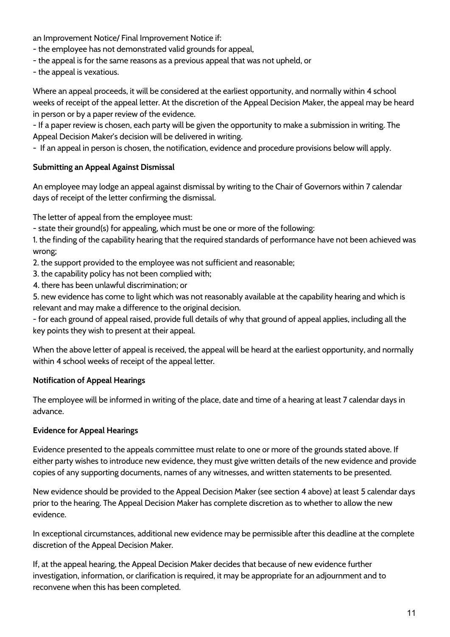an Improvement Notice/ Final Improvement Notice if:

- the employee has not demonstrated valid grounds for appeal,
- the appeal is for the same reasons as a previous appeal that was not upheld, or
- the appeal is vexatious.

Where an appeal proceeds, it will be considered at the earliest opportunity, and normally within 4 school weeks of receipt of the appeal letter. At the discretion of the Appeal Decision Maker, the appeal may be heard in person or by a paper review of the evidence.

- If a paper review is chosen, each party will be given the opportunity to make a submission in writing. The Appeal Decision Maker's decision will be delivered in writing.

- If an appeal in person is chosen, the notification, evidence and procedure provisions below will apply.

#### **Submitting an Appeal Against Dismissal**

An employee may lodge an appeal against dismissal by writing to the Chair of Governors within 7 calendar days of receipt of the letter confirming the dismissal.

The letter of appeal from the employee must:

- state their ground(s) for appealing, which must be one or more of the following:

1. the finding of the capability hearing that the required standards of performance have not been achieved was wrong;

- 2. the support provided to the employee was not sufficient and reasonable;
- 3. the capability policy has not been complied with;
- 4. there has been unlawful discrimination; or

5. new evidence has come to light which was not reasonably available at the capability hearing and which is relevant and may make a difference to the original decision.

- for each ground of appeal raised, provide full details of why that ground of appeal applies, including all the key points they wish to present at their appeal.

When the above letter of appeal is received, the appeal will be heard at the earliest opportunity, and normally within 4 school weeks of receipt of the appeal letter.

## **Notification of Appeal Hearings**

The employee will be informed in writing of the place, date and time of a hearing at least 7 calendar days in advance.

## **Evidence for Appeal Hearings**

Evidence presented to the appeals committee must relate to one or more of the grounds stated above. If either party wishes to introduce new evidence, they must give written details of the new evidence and provide copies of any supporting documents, names of any witnesses, and written statements to be presented.

New evidence should be provided to the Appeal Decision Maker (see section 4 above) at least 5 calendar days prior to the hearing. The Appeal Decision Maker has complete discretion as to whether to allow the new evidence.

In exceptional circumstances, additional new evidence may be permissible after this deadline at the complete discretion of the Appeal Decision Maker.

If, at the appeal hearing, the Appeal Decision Maker decides that because of new evidence further investigation, information, or clarification is required, it may be appropriate for an adjournment and to reconvene when this has been completed.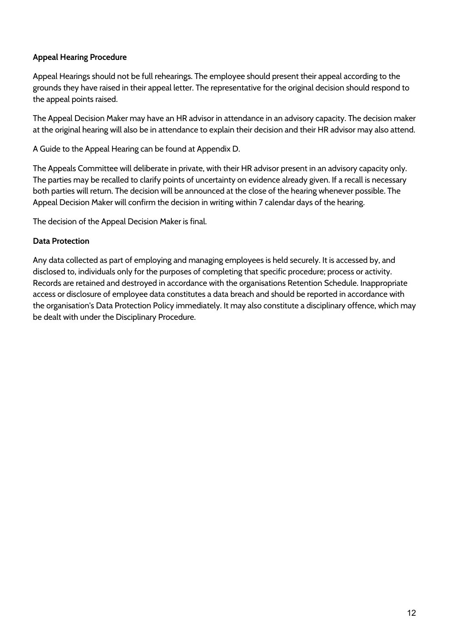## **Appeal Hearing Procedure**

Appeal Hearings should not be full rehearings. The employee should present their appeal according to the grounds they have raised in their appeal letter. The representative for the original decision should respond to the appeal points raised.

The Appeal Decision Maker may have an HR advisor in attendance in an advisory capacity. The decision maker at the original hearing will also be in attendance to explain their decision and their HR advisor may also attend.

A Guide to the Appeal Hearing can be found at Appendix D.

The Appeals Committee will deliberate in private, with their HR advisor present in an advisory capacity only. The parties may be recalled to clarify points of uncertainty on evidence already given. If a recall is necessary both parties will return. The decision will be announced at the close of the hearing whenever possible. The Appeal Decision Maker will confirm the decision in writing within 7 calendar days of the hearing.

The decision of the Appeal Decision Maker is final.

## **Data Protection**

Any data collected as part of employing and managing employees is held securely. It is accessed by, and disclosed to, individuals only for the purposes of completing that specific procedure; process or activity. Records are retained and destroyed in accordance with the organisations Retention Schedule. Inappropriate access or disclosure of employee data constitutes a data breach and should be reported in accordance with the organisation's Data Protection Policy immediately. It may also constitute a disciplinary offence, which may be dealt with under the Disciplinary Procedure.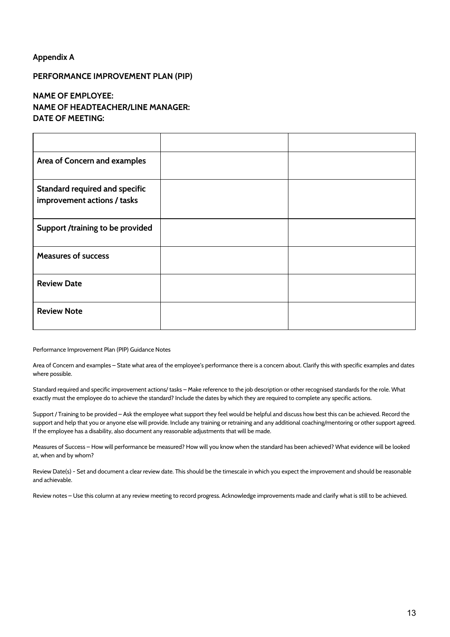#### **Appendix A**

#### **PERFORMANCE IMPROVEMENT PLAN (PIP)**

#### **NAME OF EMPLOYEE: NAME OF HEADTEACHER/LINE MANAGER: DATE OF MEETING:**

| Area of Concern and examples                                         |  |
|----------------------------------------------------------------------|--|
| <b>Standard required and specific</b><br>improvement actions / tasks |  |
| Support /training to be provided                                     |  |
| <b>Measures of success</b>                                           |  |
| <b>Review Date</b>                                                   |  |
| <b>Review Note</b>                                                   |  |

Performance Improvement Plan (PIP) Guidance Notes

Area of Concern and examples – State what area of the employee's performance there is a concern about. Clarify this with specific examples and dates where possible.

Standard required and specific improvement actions/ tasks – Make reference to the job description or other recognised standards for the role. What exactly must the employee do to achieve the standard? Include the dates by which they are required to complete any specific actions.

Support / Training to be provided – Ask the employee what support they feel would be helpful and discuss how best this can be achieved. Record the support and help that you or anyone else will provide. Include any training or retraining and any additional coaching/mentoring or other support agreed. If the employee has a disability, also document any reasonable adjustments that will be made.

Measures of Success – How will performance be measured? How will you know when the standard has been achieved? What evidence will be looked at, when and by whom?

Review Date(s) - Set and document a clear review date. This should be the timescale in which you expect the improvement and should be reasonable and achievable.

Review notes – Use this column at any review meeting to record progress. Acknowledge improvements made and clarify what is still to be achieved.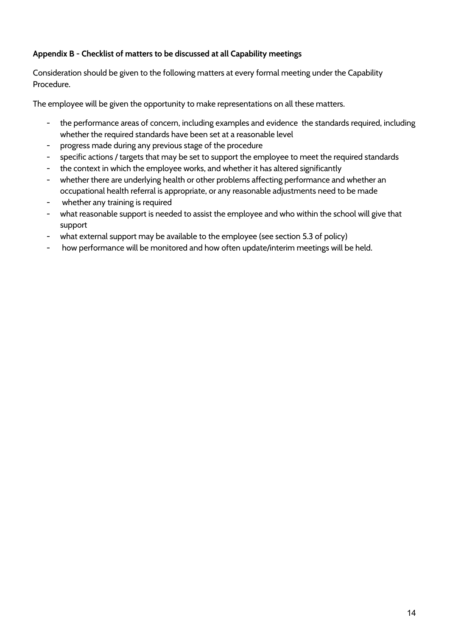## **Appendix B - Checklist of matters to be discussed at all Capability meetings**

Consideration should be given to the following matters at every formal meeting under the Capability Procedure.

The employee will be given the opportunity to make representations on all these matters.

- the performance areas of concern, including examples and evidence the standards required, including whether the required standards have been set at a reasonable level
- progress made during any previous stage of the procedure
- specific actions / targets that may be set to support the employee to meet the required standards
- the context in which the employee works, and whether it has altered significantly
- whether there are underlying health or other problems affecting performance and whether an occupational health referral is appropriate, or any reasonable adjustments need to be made
- whether any training is required
- what reasonable support is needed to assist the employee and who within the school will give that support
- what external support may be available to the employee (see section 5.3 of policy)
- how performance will be monitored and how often update/interim meetings will be held.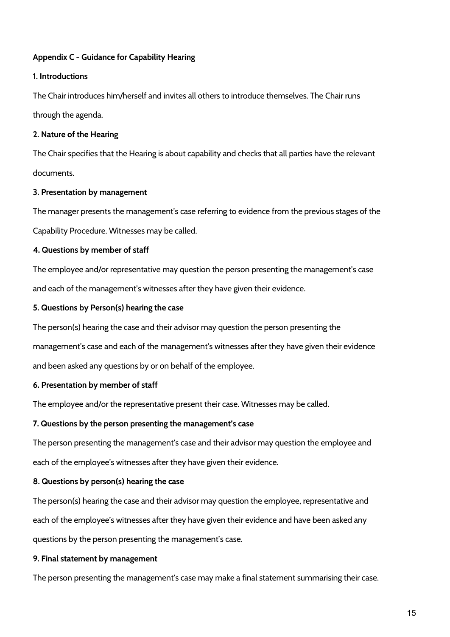## **Appendix C - Guidance for Capability Hearing**

#### **1. Introductions**

The Chair introduces him/herself and invites all others to introduce themselves. The Chair runs through the agenda.

#### **2. Nature of the Hearing**

The Chair specifies that the Hearing is about capability and checks that all parties have the relevant documents.

#### **3. Presentation by management**

The manager presents the management's case referring to evidence from the previous stages of the Capability Procedure. Witnesses may be called.

## **4. Questions by member of staff**

The employee and/or representative may question the person presenting the management's case and each of the management's witnesses after they have given their evidence.

#### **5. Questions by Person(s) hearing the case**

The person(s) hearing the case and their advisor may question the person presenting the

management's case and each of the management's witnesses after they have given their evidence

and been asked any questions by or on behalf of the employee.

#### **6. Presentation by member of staff**

The employee and/or the representative present their case. Witnesses may be called.

## **7. Questions by the person presenting the management's case**

The person presenting the management's case and their advisor may question the employee and each of the employee's witnesses after they have given their evidence.

#### **8. Questions by person(s) hearing the case**

The person(s) hearing the case and their advisor may question the employee, representative and each of the employee's witnesses after they have given their evidence and have been asked any questions by the person presenting the management's case.

#### **9. Final statement by management**

The person presenting the management's case may make a final statement summarising their case.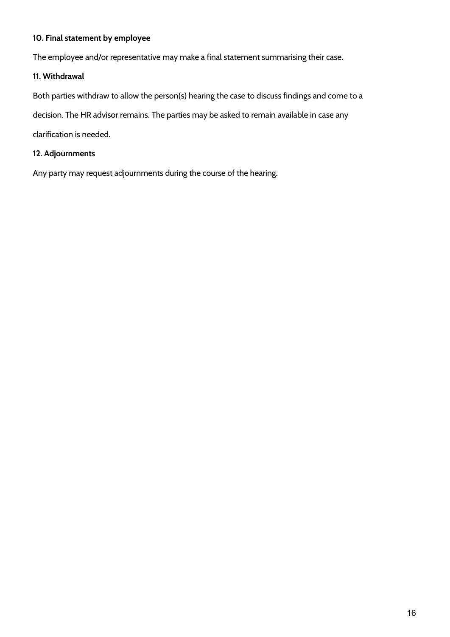## **10. Final statement by employee**

The employee and/or representative may make a final statement summarising their case.

#### **11. Withdrawal**

Both parties withdraw to allow the person(s) hearing the case to discuss findings and come to a

decision. The HR advisor remains. The parties may be asked to remain available in case any

clarification is needed.

#### **12. Adjournments**

Any party may request adjournments during the course of the hearing.